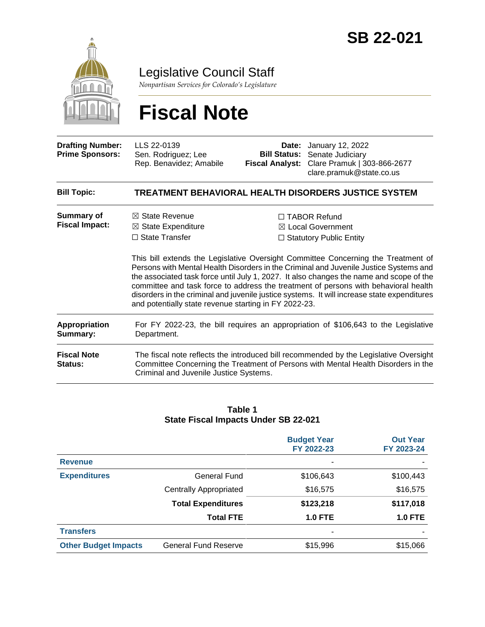

Legislative Council Staff

*Nonpartisan Services for Colorado's Legislature*

# **Fiscal Note**

| <b>Drafting Number:</b><br><b>Prime Sponsors:</b> | LLS 22-0139<br>Sen. Rodriguez; Lee<br>Rep. Benavidez; Amabile                                                                                | Date:<br><b>Bill Status:</b><br><b>Fiscal Analyst:</b> | January 12, 2022<br>Senate Judiciary<br>Clare Pramuk   303-866-2677<br>clare.pramuk@state.co.us                                                                                                                                                                                                                                                                                                                                                                                                                                                      |
|---------------------------------------------------|----------------------------------------------------------------------------------------------------------------------------------------------|--------------------------------------------------------|------------------------------------------------------------------------------------------------------------------------------------------------------------------------------------------------------------------------------------------------------------------------------------------------------------------------------------------------------------------------------------------------------------------------------------------------------------------------------------------------------------------------------------------------------|
| <b>Bill Topic:</b>                                |                                                                                                                                              |                                                        | TREATMENT BEHAVIORAL HEALTH DISORDERS JUSTICE SYSTEM                                                                                                                                                                                                                                                                                                                                                                                                                                                                                                 |
| <b>Summary of</b><br><b>Fiscal Impact:</b>        | $\boxtimes$ State Revenue<br>$\boxtimes$ State Expenditure<br>$\Box$ State Transfer<br>and potentially state revenue starting in FY 2022-23. |                                                        | $\Box$ TABOR Refund<br>$\boxtimes$ Local Government<br>$\Box$ Statutory Public Entity<br>This bill extends the Legislative Oversight Committee Concerning the Treatment of<br>Persons with Mental Health Disorders in the Criminal and Juvenile Justice Systems and<br>the associated task force until July 1, 2027. It also changes the name and scope of the<br>committee and task force to address the treatment of persons with behavioral health<br>disorders in the criminal and juvenile justice systems. It will increase state expenditures |
| <b>Appropriation</b><br>Summary:                  | Department.                                                                                                                                  |                                                        | For FY 2022-23, the bill requires an appropriation of \$106,643 to the Legislative                                                                                                                                                                                                                                                                                                                                                                                                                                                                   |
| <b>Fiscal Note</b><br><b>Status:</b>              | Criminal and Juvenile Justice Systems.                                                                                                       |                                                        | The fiscal note reflects the introduced bill recommended by the Legislative Oversight<br>Committee Concerning the Treatment of Persons with Mental Health Disorders in the                                                                                                                                                                                                                                                                                                                                                                           |

#### **Table 1 State Fiscal Impacts Under SB 22-021**

|                             |                               | <b>Budget Year</b><br>FY 2022-23 | <b>Out Year</b><br>FY 2023-24 |
|-----------------------------|-------------------------------|----------------------------------|-------------------------------|
| <b>Revenue</b>              |                               | ۰                                |                               |
| <b>Expenditures</b>         | <b>General Fund</b>           | \$106,643                        | \$100,443                     |
|                             | <b>Centrally Appropriated</b> | \$16,575                         | \$16,575                      |
|                             | <b>Total Expenditures</b>     | \$123,218                        | \$117,018                     |
|                             | <b>Total FTE</b>              | <b>1.0 FTE</b>                   | <b>1.0 FTE</b>                |
| <b>Transfers</b>            |                               | ٠                                |                               |
| <b>Other Budget Impacts</b> | <b>General Fund Reserve</b>   | \$15,996                         | \$15,066                      |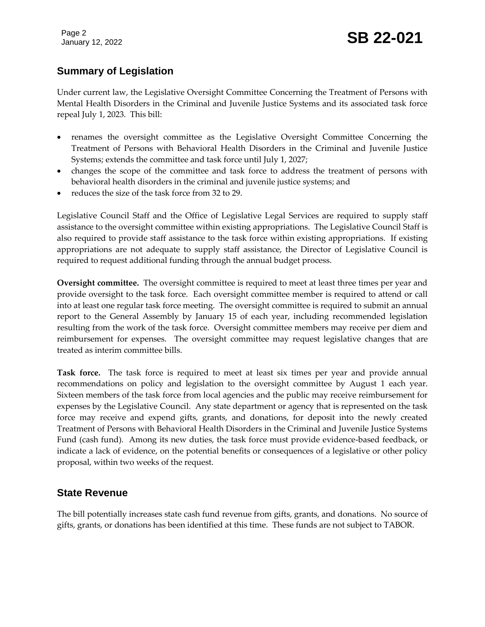Page 2

## **Summary of Legislation**

Under current law, the Legislative Oversight Committee Concerning the Treatment of Persons with Mental Health Disorders in the Criminal and Juvenile Justice Systems and its associated task force repeal July 1, 2023. This bill:

- renames the oversight committee as the Legislative Oversight Committee Concerning the Treatment of Persons with Behavioral Health Disorders in the Criminal and Juvenile Justice Systems; extends the committee and task force until July 1, 2027;
- changes the scope of the committee and task force to address the treatment of persons with behavioral health disorders in the criminal and juvenile justice systems; and
- reduces the size of the task force from 32 to 29.

Legislative Council Staff and the Office of Legislative Legal Services are required to supply staff assistance to the oversight committee within existing appropriations. The Legislative Council Staff is also required to provide staff assistance to the task force within existing appropriations. If existing appropriations are not adequate to supply staff assistance, the Director of Legislative Council is required to request additional funding through the annual budget process.

**Oversight committee.** The oversight committee is required to meet at least three times per year and provide oversight to the task force. Each oversight committee member is required to attend or call into at least one regular task force meeting. The oversight committee is required to submit an annual report to the General Assembly by January 15 of each year, including recommended legislation resulting from the work of the task force. Oversight committee members may receive per diem and reimbursement for expenses. The oversight committee may request legislative changes that are treated as interim committee bills.

**Task force.** The task force is required to meet at least six times per year and provide annual recommendations on policy and legislation to the oversight committee by August 1 each year. Sixteen members of the task force from local agencies and the public may receive reimbursement for expenses by the Legislative Council. Any state department or agency that is represented on the task force may receive and expend gifts, grants, and donations, for deposit into the newly created Treatment of Persons with Behavioral Health Disorders in the Criminal and Juvenile Justice Systems Fund (cash fund). Among its new duties, the task force must provide evidence-based feedback, or indicate a lack of evidence, on the potential benefits or consequences of a legislative or other policy proposal, within two weeks of the request.

#### **State Revenue**

The bill potentially increases state cash fund revenue from gifts, grants, and donations. No source of gifts, grants, or donations has been identified at this time. These funds are not subject to TABOR.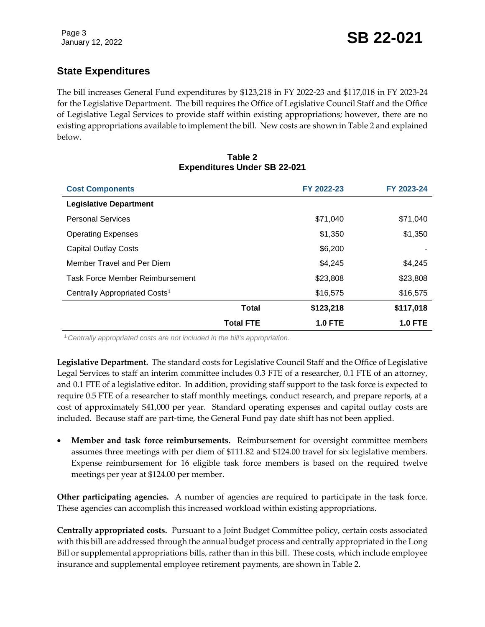# **State Expenditures**

The bill increases General Fund expenditures by \$123,218 in FY 2022-23 and \$117,018 in FY 2023-24 for the Legislative Department. The bill requires the Office of Legislative Council Staff and the Office of Legislative Legal Services to provide staff within existing appropriations; however, there are no existing appropriations available to implement the bill. New costs are shown in Table 2 and explained below.

| Table 2                             |  |  |  |  |  |  |
|-------------------------------------|--|--|--|--|--|--|
| <b>Expenditures Under SB 22-021</b> |  |  |  |  |  |  |

| <b>Cost Components</b>                    |                  | FY 2022-23     | FY 2023-24     |
|-------------------------------------------|------------------|----------------|----------------|
| <b>Legislative Department</b>             |                  |                |                |
| <b>Personal Services</b>                  |                  | \$71,040       | \$71,040       |
| <b>Operating Expenses</b>                 |                  | \$1,350        | \$1,350        |
| <b>Capital Outlay Costs</b>               |                  | \$6,200        |                |
| Member Travel and Per Diem                |                  | \$4,245        | \$4,245        |
| <b>Task Force Member Reimbursement</b>    |                  | \$23,808       | \$23,808       |
| Centrally Appropriated Costs <sup>1</sup> |                  | \$16,575       | \$16,575       |
|                                           | <b>Total</b>     | \$123,218      | \$117,018      |
|                                           | <b>Total FTE</b> | <b>1.0 FTE</b> | <b>1.0 FTE</b> |

<sup>1</sup>*Centrally appropriated costs are not included in the bill's appropriation.*

**Legislative Department.** The standard costs for Legislative Council Staff and the Office of Legislative Legal Services to staff an interim committee includes 0.3 FTE of a researcher, 0.1 FTE of an attorney, and 0.1 FTE of a legislative editor. In addition, providing staff support to the task force is expected to require 0.5 FTE of a researcher to staff monthly meetings, conduct research, and prepare reports, at a cost of approximately \$41,000 per year. Standard operating expenses and capital outlay costs are included. Because staff are part-time, the General Fund pay date shift has not been applied.

 **Member and task force reimbursements.** Reimbursement for oversight committee members assumes three meetings with per diem of \$111.82 and \$124.00 travel for six legislative members. Expense reimbursement for 16 eligible task force members is based on the required twelve meetings per year at \$124.00 per member.

**Other participating agencies.** A number of agencies are required to participate in the task force. These agencies can accomplish this increased workload within existing appropriations.

**Centrally appropriated costs.** Pursuant to a Joint Budget Committee policy, certain costs associated with this bill are addressed through the annual budget process and centrally appropriated in the Long Bill or supplemental appropriations bills, rather than in this bill. These costs, which include employee insurance and supplemental employee retirement payments, are shown in Table 2.